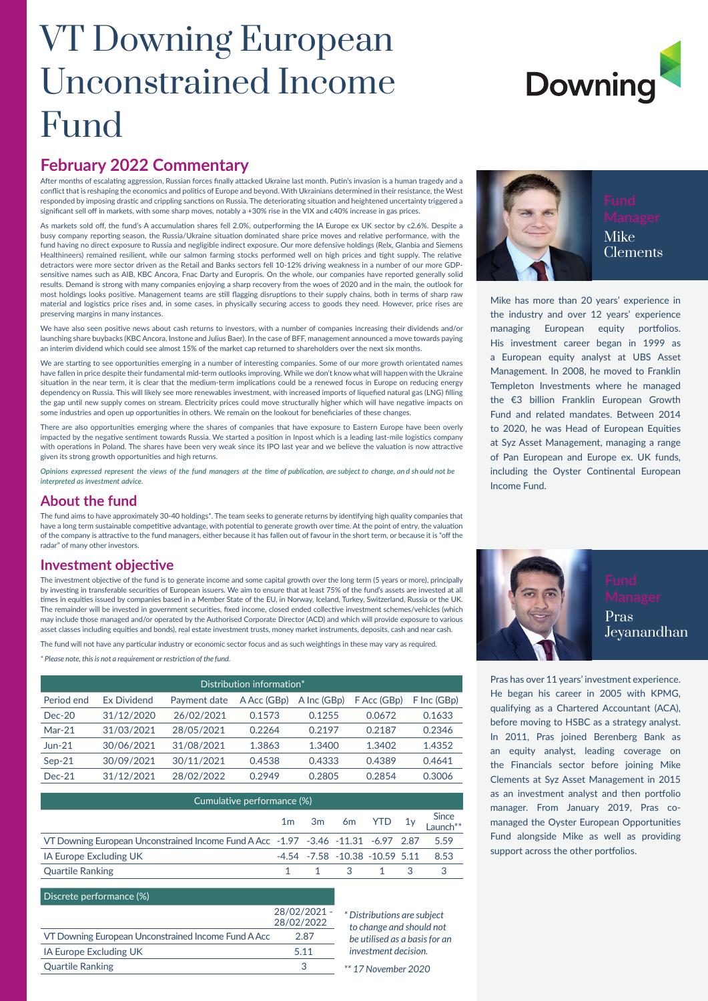# VT Downing European Unconstrained Income Fund

# **February 2022 Commentary**

After months of escalating aggression, Russian forces finally attacked Ukraine last month. Putin's invasion is a human tragedy and a conflict that is reshaping the economics and politics of Europe and beyond. With Ukrainians determined in their resistance, the West responded by imposing drastic and crippling sanctions on Russia. The deteriorating situation and heightened uncertainty triggered a significant sell off in markets, with some sharp moves, notably a +30% rise in the VIX and c40% increase in gas prices

As markets sold off, the fund's A accumulation shares fell 2.0%, outperforming the IA Europe ex UK sector by c2.6%. Despite a busy company reporting season, the Russia/Ukraine situation dominated share price moves and relative performance, with the fund having no direct exposure to Russia and negligible indirect exposure. Our more defensive holdings (Relx, Glanbia and Siemens Healthineers) remained resilient, while our salmon farming stocks performed well on high prices and tight supply. The relative detractors were more sector driven as the Retail and Banks sectors fell 10-12% driving weakness in a number of our more GDPsensitive names such as AIB, KBC Ancora, Fnac Darty and Europris. On the whole, our companies have reported generally solid results. Demand is strong with many companies enjoying a sharp recovery from the woes of 2020 and in the main, the outlook for most holdings looks positive. Management teams are still flagging disruptions to their supply chains, both in terms of sharp raw material and logistics price rises and, in some cases, in physically securing access to goods they need. However, price rises are preserving margins in many instances.

We have also seen positive news about cash returns to investors, with a number of companies increasing their dividends and/or launching share buybacks (KBC Ancora, Instone and Julius Baer). In the case of BFF, management announced a move towards paying an interim dividend which could see almost 15% of the market cap returned to shareholders over the next six months.

We are starting to see opportunities emerging in a number of interesting companies. Some of our more growth orientated names have fallen in price despite their fundamental mid-term outlooks improving. While we don't know what will happen with the Ukraine situation in the near term, it is clear that the medium-term implications could be a renewed focus in Europe on reducing energy dependency on Russia. This will likely see more renewables investment, with increased imports of liquefied natural gas (LNG) filling the gap until new supply comes on stream. Electricity prices could move structurally higher which will have negative impacts on some industries and open up opportunities in others. We remain on the lookout for beneficiaries of these changes.

There are also opportunities emerging where the shares of companies that have exposure to Eastern Europe have been overly impacted by the negative sentiment towards Russia. We started a position in Inpost which is a leading last-mile logistics company with operations in Poland. The shares have been very weak since its IPO last year and we believe the valuation is now attractive given its strong growth opportunities and high returns.

*Opinions expressed represent the views of the fund managers at the time of publication, are subject to change, an d sh ould not be interpreted as investment advice.*

## **About the fund**

The fund aims to have approximately 30-40 holdings\*. The team seeks to generate returns by identifying high quality companies that have a long term sustainable competitive advantage, with potential to generate growth over time. At the point of entry, the valuation of the company is attractive to the fund managers, either because it has fallen out of favour in the short term, or because it is "off the radar" of many other investors.

### **Investment objective**

The investment objective of the fund is to generate income and some capital growth over the long term (5 years or more), principally by investing in transferable securities of European issuers. We aim to ensure that at least 75% of the fund's assets are invested at all times in equities issued by companies based in a Member State of the EU, in Norway, Iceland, Turkey, Switzerland, Russia or the UK. The remainder will be invested in government securities, fixed income, closed ended collective investment schemes/vehicles (which may include those managed and/or operated by the Authorised Corporate Director (ACD) and which will provide exposure to various asset classes including equities and bonds), real estate investment trusts, money market instruments, deposits, cash and near cash.

The fund will not have any particular industry or economic sector focus and as such weightings in these may vary as required.

*\* Please note, this is not a requirement or restriction of the fund.*

| Distribution information* |                    |              |             |             |                          |             |  |  |
|---------------------------|--------------------|--------------|-------------|-------------|--------------------------|-------------|--|--|
| Period end                | <b>Ex Dividend</b> | Payment date | A Acc (GBp) | A Inc (GBp) | F Acc (GB <sub>D</sub> ) | F Inc (GBp) |  |  |
| $Dec-20$                  | 31/12/2020         | 26/02/2021   | 0.1573      | 0.1255      | 0.0672                   | 0.1633      |  |  |
| $Mar-21$                  | 31/03/2021         | 28/05/2021   | 0.2264      | 0.2197      | 0.2187                   | 0.2346      |  |  |
| $Jun-21$                  | 30/06/2021         | 31/08/2021   | 1.3863      | 1.3400      | 1.3402                   | 1.4352      |  |  |
| $Sep-21$                  | 30/09/2021         | 30/11/2021   | 0.4538      | 0.4333      | 0.4389                   | 0.4641      |  |  |
| $Dec-21$                  | 31/12/2021         | 28/02/2022   | 0.2949      | 0.2805      | 0.2854                   | 0.3006      |  |  |

| Cumulative performance (%)                                                        |  |  |                                                 |  |  |                                                           |  |
|-----------------------------------------------------------------------------------|--|--|-------------------------------------------------|--|--|-----------------------------------------------------------|--|
|                                                                                   |  |  |                                                 |  |  | 1m 3m 6m YTD 1y $\frac{\text{Since}}{\text{Launch}^{**}}$ |  |
| VT Downing European Unconstrained Income Fund A Acc -1.97 -3.46 -11.31 -6.97 2.87 |  |  |                                                 |  |  | 5.59                                                      |  |
| IA Europe Excluding UK                                                            |  |  | $-4.54$ $-7.58$ $-10.38$ $-10.59$ $5.11$ $8.53$ |  |  |                                                           |  |
| <b>Quartile Ranking</b>                                                           |  |  | 1 1 3 1 3 3                                     |  |  |                                                           |  |

#### Discrete performance (%)

|                                                     | 28/02/2021 - |
|-----------------------------------------------------|--------------|
|                                                     | 28/02/2022   |
| VT Downing European Unconstrained Income Fund A Acc | 2.87         |
| IA Europe Excluding UK                              | 511          |
| <b>Quartile Ranking</b>                             |              |

*\* Distributions are subject to change and should not be utilised as a basis for an investment decision.*



Clements

Mike has more than 20 years' experience in the industry and over 12 years' experience managing European equity portfolios. His investment career began in 1999 as a European equity analyst at UBS Asset Management. In 2008, he moved to Franklin Templeton Investments where he managed the €3 billion Franklin European Growth Fund and related mandates. Between 2014 to 2020, he was Head of European Equities at Syz Asset Management, managing a range of Pan European and Europe ex. UK funds, including the Oyster Continental European Income Fund.



Pras has over 11 years' investment experience. He began his career in 2005 with KPMG, qualifying as a Chartered Accountant (ACA), before moving to HSBC as a strategy analyst. In 2011, Pras joined Berenberg Bank as an equity analyst, leading coverage on the Financials sector before joining Mike Clements at Syz Asset Management in 2015 as an investment analyst and then portfolio manager. From January 2019, Pras comanaged the Oyster European Opportunities Fund alongside Mike as well as providing support across the other portfolios.